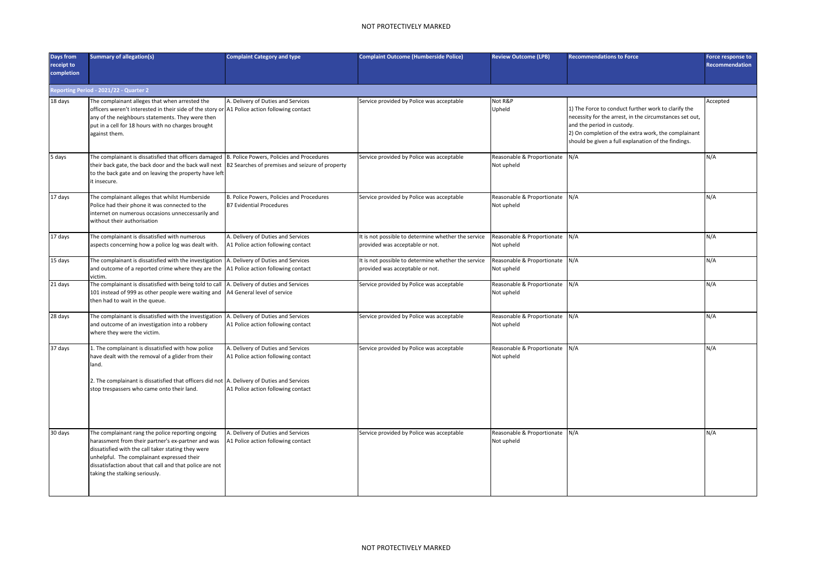| <b>Days from</b><br>receipt to<br>completion | <b>Summary of allegation(s)</b>                                                                                                                                                                                                                                                                         | <b>Complaint Category and type</b>                                           | <b>Complaint Outcome (Humberside Police)</b>                                           | <b>Review Outcome (LPB)</b>                  | <b>Recommendations to Force</b>                                                                                                                                                                                                                            | Force response to<br>Recommendation |
|----------------------------------------------|---------------------------------------------------------------------------------------------------------------------------------------------------------------------------------------------------------------------------------------------------------------------------------------------------------|------------------------------------------------------------------------------|----------------------------------------------------------------------------------------|----------------------------------------------|------------------------------------------------------------------------------------------------------------------------------------------------------------------------------------------------------------------------------------------------------------|-------------------------------------|
|                                              | Reporting Period - 2021/22 - Quarter 2                                                                                                                                                                                                                                                                  |                                                                              |                                                                                        |                                              |                                                                                                                                                                                                                                                            |                                     |
| 18 days                                      | The complainant alleges that when arrested the<br>officers weren't interested in their side of the story or A1 Police action following contact<br>any of the neighbours statements. They were then<br>put in a cell for 18 hours with no charges brought<br>against them.                               | A. Delivery of Duties and Services                                           | Service provided by Police was acceptable                                              | Not R&P<br>Upheld                            | 1) The Force to conduct further work to clarify the<br>necessity for the arrest, in the circumstances set out,<br>and the period in custody.<br>2) On completion of the extra work, the complainant<br>should be given a full explanation of the findings. | Accepted                            |
| 5 days                                       | The complainant is dissatisfied that officers damaged   B. Police Powers, Policies and Procedures<br>heir back gate, the back door and the back wall next  B2 Searches of premises and seizure of property:<br>to the back gate and on leaving the property have left<br>t insecure.                    |                                                                              | Service provided by Police was acceptable                                              | Reasonable & Proportionate<br>Not upheld     | N/A                                                                                                                                                                                                                                                        | N/A                                 |
| 17 days                                      | The complainant alleges that whilst Humberside<br>Police had their phone it was connected to the<br>internet on numerous occasions unneccessarily and<br>without their authorisation                                                                                                                    | B. Police Powers, Policies and Procedures<br><b>B7 Evidential Procedures</b> | Service provided by Police was acceptable                                              | Reasonable & Proportionate<br>Not upheld     | N/A                                                                                                                                                                                                                                                        | N/A                                 |
| 17 days                                      | The complainant is dissatisfied with numerous<br>aspects concerning how a police log was dealt with.                                                                                                                                                                                                    | A. Delivery of Duties and Services<br>A1 Police action following contact     | It is not possible to determine whether the service<br>provided was acceptable or not. | Reasonable & Proportionate<br>Not upheld     | N/A                                                                                                                                                                                                                                                        | N/A                                 |
| 15 days                                      | The complainant is dissatisfied with the investigation<br>and outcome of a reported crime where they are the<br>victim.                                                                                                                                                                                 | A. Delivery of Duties and Services<br>A1 Police action following contact     | It is not possible to determine whether the service<br>provided was acceptable or not. | Reasonable & Proportionate<br>Not upheld     | N/A                                                                                                                                                                                                                                                        | N/A                                 |
| 21 days                                      | The complainant is dissatisfied with being told to call<br>101 instead of 999 as other people were waiting and<br>then had to wait in the queue.                                                                                                                                                        | A. Delivery of duties and Services<br>A4 General level of service            | Service provided by Police was acceptable                                              | Reasonable & Proportionate N/A<br>Not upheld |                                                                                                                                                                                                                                                            | N/A                                 |
| 28 days                                      | The complainant is dissatisfied with the investigation<br>and outcome of an investigation into a robbery<br>where they were the victim.                                                                                                                                                                 | A. Delivery of Duties and Services<br>A1 Police action following contact     | Service provided by Police was acceptable                                              | Reasonable & Proportionate<br>Not upheld     | N/A                                                                                                                                                                                                                                                        | N/A                                 |
| 37 days                                      | L. The complainant is dissatisfied with how police<br>have dealt with the removal of a glider from their<br>land.                                                                                                                                                                                       | A. Delivery of Duties and Services<br>A1 Police action following contact     | Service provided by Police was acceptable                                              | Reasonable & Proportionate<br>Not upheld     | N/A                                                                                                                                                                                                                                                        | N/A                                 |
|                                              | 2. The complainant is dissatisfied that officers did not A. Delivery of Duties and Services<br>stop trespassers who came onto their land.                                                                                                                                                               | A1 Police action following contact                                           |                                                                                        |                                              |                                                                                                                                                                                                                                                            |                                     |
| 30 days                                      | The complainant rang the police reporting ongoing<br>narassment from their partner's ex-partner and was<br>dissatisfied with the call taker stating they were<br>unhelpful. The complainant expressed their<br>dissatisfaction about that call and that police are not<br>aking the stalking seriously. | A. Delivery of Duties and Services<br>A1 Police action following contact     | Service provided by Police was acceptable                                              | Reasonable & Proportionate<br>Not upheld     | N/A                                                                                                                                                                                                                                                        | N/A                                 |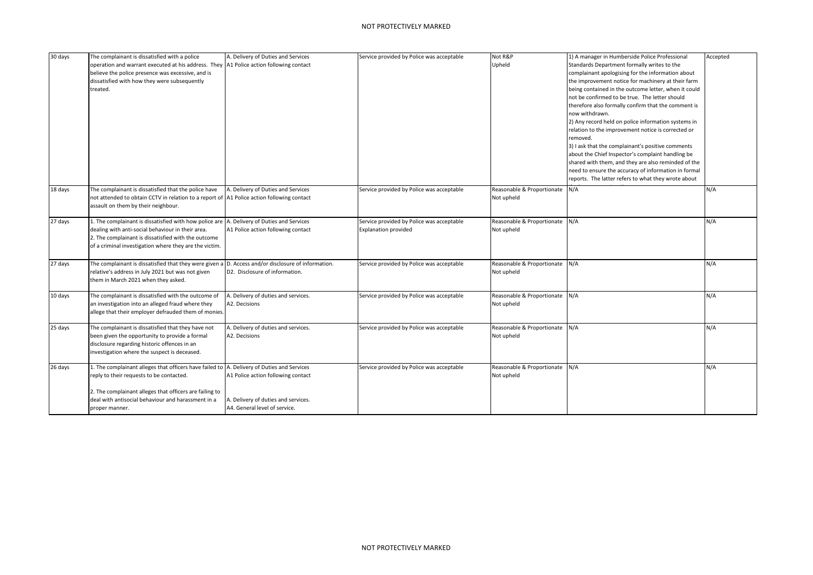| 30 days | The complainant is dissatisfied with a police<br>operation and warrant executed at his address. They  A1 Police action following contact<br>believe the police presence was excessive, and is<br>dissatisfied with how they were subsequently<br>treated.                 | A. Delivery of Duties and Services                                                                         | Service provided by Police was acceptable                         | Not R&P<br>Upheld                            | 1) A manager in Humberside Police Professional<br>Standards Department formally writes to the<br>complainant apologising for the information about<br>the improvement notice for machinery at their farm<br>being contained in the outcome letter, when it could<br>not be confirmed to be true. The letter should<br>therefore also formally confirm that the comment is<br>now withdrawn.<br>2) Any record held on police information systems in<br>relation to the improvement notice is corrected or<br>removed.<br>3) I ask that the complainant's positive comments<br>about the Chief Inspector's complaint handling be<br>shared with them, and they are also reminded of the<br>need to ensure the accuracy of information in formal<br>reports. The latter refers to what they wrote about | Accepted |
|---------|---------------------------------------------------------------------------------------------------------------------------------------------------------------------------------------------------------------------------------------------------------------------------|------------------------------------------------------------------------------------------------------------|-------------------------------------------------------------------|----------------------------------------------|------------------------------------------------------------------------------------------------------------------------------------------------------------------------------------------------------------------------------------------------------------------------------------------------------------------------------------------------------------------------------------------------------------------------------------------------------------------------------------------------------------------------------------------------------------------------------------------------------------------------------------------------------------------------------------------------------------------------------------------------------------------------------------------------------|----------|
| 18 days | The complainant is dissatisfied that the police have<br>not attended to obtain CCTV in relation to a report of  A1 Police action following contact<br>assault on them by their neighbour.                                                                                 | A. Delivery of Duties and Services                                                                         | Service provided by Police was acceptable                         | Reasonable & Proportionate<br>Not upheld     | N/A                                                                                                                                                                                                                                                                                                                                                                                                                                                                                                                                                                                                                                                                                                                                                                                                  | N/A      |
| 27 days | 1. The complainant is dissatisfied with how police are A. Delivery of Duties and Services<br>dealing with anti-social behaviour in their area.<br>2. The complainant is dissatisfied with the outcome<br>of a criminal investigation where they are the victim.           | A1 Police action following contact                                                                         | Service provided by Police was acceptable<br>Explanation provided | Reasonable & Proportionate<br>Not upheld     | N/A                                                                                                                                                                                                                                                                                                                                                                                                                                                                                                                                                                                                                                                                                                                                                                                                  | N/A      |
| 27 days | The complainant is dissatisfied that they were given a D. Access and/or disclosure of information.<br>relative's address in July 2021 but was not given<br>them in March 2021 when they asked.                                                                            | D2. Disclosure of information.                                                                             | Service provided by Police was acceptable                         | Reasonable & Proportionate N/A<br>Not upheld |                                                                                                                                                                                                                                                                                                                                                                                                                                                                                                                                                                                                                                                                                                                                                                                                      | N/A      |
| 10 days | The complainant is dissatisfied with the outcome of<br>an investigation into an alleged fraud where they<br>allege that their employer defrauded them of monies.                                                                                                          | A. Delivery of duties and services.<br>A2. Decisions                                                       | Service provided by Police was acceptable                         | Reasonable & Proportionate<br>Not upheld     | N/A                                                                                                                                                                                                                                                                                                                                                                                                                                                                                                                                                                                                                                                                                                                                                                                                  | N/A      |
| 25 days | The complainant is dissatisfied that they have not<br>been given the opportunity to provide a formal<br>disclosure regarding historic offences in an<br>investigation where the suspect is deceased.                                                                      | A. Delivery of duties and services.<br>A2. Decisions                                                       | Service provided by Police was acceptable                         | Reasonable & Proportionate N/A<br>Not upheld |                                                                                                                                                                                                                                                                                                                                                                                                                                                                                                                                                                                                                                                                                                                                                                                                      | N/A      |
| 26 days | 1. The complainant alleges that officers have failed to A. Delivery of Duties and Services<br>reply to their requests to be contacted.<br>2. The complainant alleges that officers are failing to<br>deal with antisocial behaviour and harassment in a<br>proper manner. | A1 Police action following contact<br>A. Delivery of duties and services.<br>A4. General level of service. | Service provided by Police was acceptable                         | Reasonable & Proportionate<br>Not upheld     | N/A                                                                                                                                                                                                                                                                                                                                                                                                                                                                                                                                                                                                                                                                                                                                                                                                  | N/A      |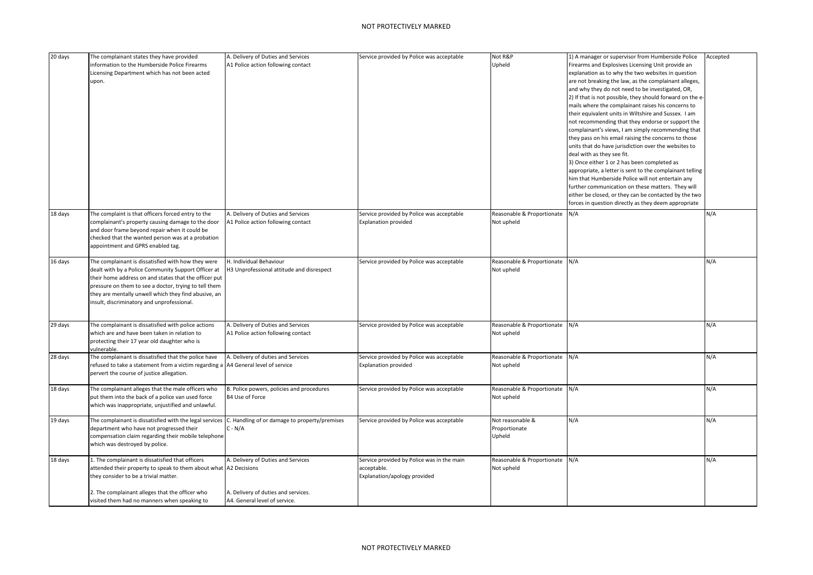| 20 days | The complainant states they have provided                                         | A. Delivery of Duties and Services            | Service provided by Police was acceptable  | Not R&P                        | 1) A manager or supervisor from Humberside Police         | Accepted |
|---------|-----------------------------------------------------------------------------------|-----------------------------------------------|--------------------------------------------|--------------------------------|-----------------------------------------------------------|----------|
|         | information to the Humberside Police Firearms                                     | A1 Police action following contact            |                                            | Upheld                         | Firearms and Explosives Licensing Unit provide an         |          |
|         | Licensing Department which has not been acted                                     |                                               |                                            |                                | explanation as to why the two websites in question        |          |
|         | upon.                                                                             |                                               |                                            |                                | are not breaking the law, as the complainant alleges,     |          |
|         |                                                                                   |                                               |                                            |                                | and why they do not need to be investigated, OR,          |          |
|         |                                                                                   |                                               |                                            |                                | 2) If that is not possible, they should forward on the e- |          |
|         |                                                                                   |                                               |                                            |                                | mails where the complainant raises his concerns to        |          |
|         |                                                                                   |                                               |                                            |                                | their equivalent units in Wiltshire and Sussex. I am      |          |
|         |                                                                                   |                                               |                                            |                                | not recommending that they endorse or support the         |          |
|         |                                                                                   |                                               |                                            |                                | complainant's views, I am simply recommending that        |          |
|         |                                                                                   |                                               |                                            |                                | they pass on his email raising the concerns to those      |          |
|         |                                                                                   |                                               |                                            |                                | units that do have jurisdiction over the websites to      |          |
|         |                                                                                   |                                               |                                            |                                | deal with as they see fit.                                |          |
|         |                                                                                   |                                               |                                            |                                | 3) Once either 1 or 2 has been completed as               |          |
|         |                                                                                   |                                               |                                            |                                | appropriate, a letter is sent to the complainant telling  |          |
|         |                                                                                   |                                               |                                            |                                | him that Humberside Police will not entertain any         |          |
|         |                                                                                   |                                               |                                            |                                | further communication on these matters. They will         |          |
|         |                                                                                   |                                               |                                            |                                | either be closed, or they can be contacted by the two     |          |
|         |                                                                                   |                                               |                                            |                                | forces in question directly as they deem appropriate      |          |
|         |                                                                                   |                                               |                                            |                                |                                                           |          |
| 18 days | The complaint is that officers forced entry to the                                | A. Delivery of Duties and Services            | Service provided by Police was acceptable  | Reasonable & Proportionate     | N/A                                                       | N/A      |
|         | complainant's property causing damage to the door                                 | A1 Police action following contact            | <b>Explanation provided</b>                | Not upheld                     |                                                           |          |
|         | and door frame beyond repair when it could be                                     |                                               |                                            |                                |                                                           |          |
|         | checked that the wanted person was at a probation                                 |                                               |                                            |                                |                                                           |          |
|         | appointment and GPRS enabled tag.                                                 |                                               |                                            |                                |                                                           |          |
| 16 days | The complainant is dissatisfied with how they were                                | H. Individual Behaviour                       | Service provided by Police was acceptable  | Reasonable & Proportionate N/A |                                                           | N/A      |
|         |                                                                                   |                                               |                                            |                                |                                                           |          |
|         | dealt with by a Police Community Support Officer at                               | H3 Unprofessional attitude and disrespect     |                                            | Not upheld                     |                                                           |          |
|         | their home address on and states that the officer put                             |                                               |                                            |                                |                                                           |          |
|         | pressure on them to see a doctor, trying to tell them                             |                                               |                                            |                                |                                                           |          |
|         | they are mentally unwell which they find abusive, an                              |                                               |                                            |                                |                                                           |          |
|         | insult, discriminatory and unprofessional.                                        |                                               |                                            |                                |                                                           |          |
|         |                                                                                   |                                               |                                            |                                |                                                           |          |
| 29 days | The complainant is dissatisfied with police actions                               | A. Delivery of Duties and Services            | Service provided by Police was acceptable  | Reasonable & Proportionate N/A |                                                           | N/A      |
|         | which are and have been taken in relation to                                      | A1 Police action following contact            |                                            | Not upheld                     |                                                           |          |
|         | protecting their 17 year old daughter who is                                      |                                               |                                            |                                |                                                           |          |
|         | vulnerable.                                                                       |                                               |                                            |                                |                                                           |          |
| 28 days | The complainant is dissatisfied that the police have                              | A. Delivery of duties and Services            | Service provided by Police was acceptable  | Reasonable & Proportionate N/A |                                                           | N/A      |
|         | refused to take a statement from a victim regarding a A4 General level of service |                                               | <b>Explanation provided</b>                | Not upheld                     |                                                           |          |
|         | pervert the course of justice allegation.                                         |                                               |                                            |                                |                                                           |          |
|         |                                                                                   |                                               |                                            |                                |                                                           |          |
| 18 days | The complainant alleges that the male officers who                                | B. Police powers, policies and procedures     | Service provided by Police was acceptable  | Reasonable & Proportionate N/A |                                                           | N/A      |
|         | put them into the back of a police van used force                                 | B4 Use of Force                               |                                            | Not upheld                     |                                                           |          |
|         | which was inappropriate, unjustified and unlawful.                                |                                               |                                            |                                |                                                           |          |
| 19 days | The complainant is dissatisfied with the legal services                           | C. Handling of or damage to property/premises | Service provided by Police was acceptable  | Not reasonable &               | N/A                                                       | N/A      |
|         | department who have not progressed their                                          | $C - N/A$                                     |                                            | Proportionate                  |                                                           |          |
|         | compensation claim regarding their mobile telephone                               |                                               |                                            | Upheld                         |                                                           |          |
|         | which was destroyed by police.                                                    |                                               |                                            |                                |                                                           |          |
|         |                                                                                   |                                               |                                            |                                |                                                           |          |
| 18 days | 1. The complainant is dissatisfied that officers                                  | A. Delivery of Duties and Services            | Service provided by Police was in the main | Reasonable & Proportionate N/A |                                                           | N/A      |
|         | attended their property to speak to them about what A2 Decisions                  |                                               | acceptable.                                | Not upheld                     |                                                           |          |
|         | they consider to be a trivial matter.                                             |                                               | Explanation/apology provided               |                                |                                                           |          |
|         |                                                                                   |                                               |                                            |                                |                                                           |          |
|         | 2. The complainant alleges that the officer who                                   | A. Delivery of duties and services.           |                                            |                                |                                                           |          |
|         | visited them had no manners when speaking to                                      | A4. General level of service.                 |                                            |                                |                                                           |          |
|         |                                                                                   |                                               |                                            |                                |                                                           |          |